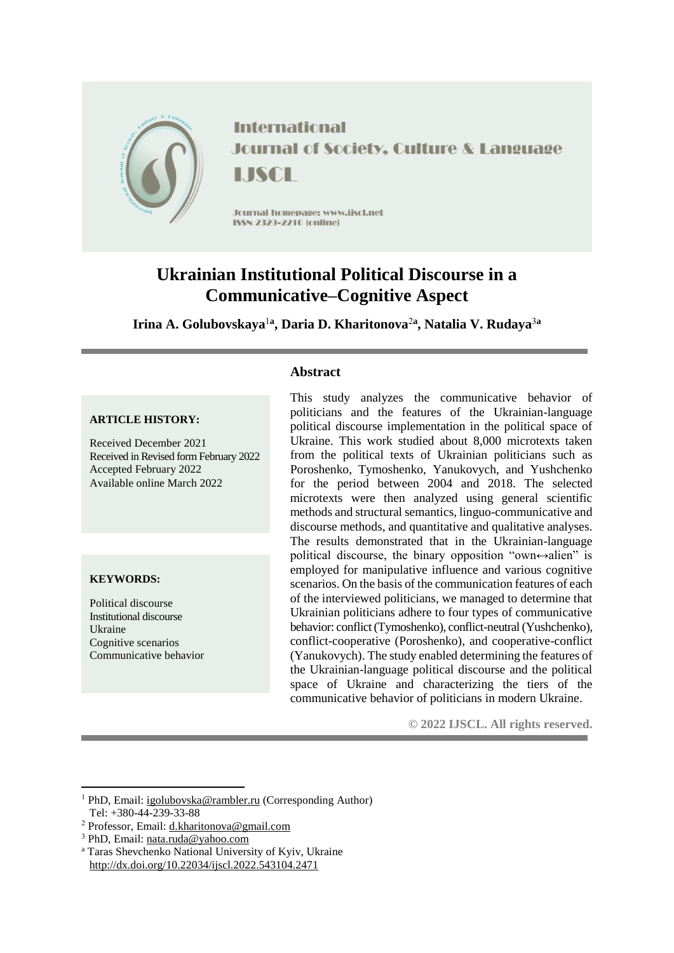

**International Journal of Society, Culture & Language** LISCH

Journal homepage: www.jiscl.net ISSN 2323-2210 (cnline)

# **Ukrainian Institutional Political Discourse in a Communicative–Cognitive Aspect**

**Irina A. Golubovskaya**<sup>1</sup>**<sup>a</sup> , Daria D. Kharitonova**<sup>2</sup>**<sup>a</sup> , Natalia V. Rudaya**<sup>3</sup>**<sup>a</sup>**

**Abstract**

#### **ARTICLE HISTORY:**

Received December 2021 Received in Revised form February 2022 Accepted February 2022 Available online March 2022

#### **KEYWORDS:**

1

Political discourse Institutional discourse Ukraine Cognitive scenarios Communicative behavior This study analyzes the communicative behavior of politicians and the features of the Ukrainian-language political discourse implementation in the political space of Ukraine. This work studied about 8,000 microtexts taken from the political texts of Ukrainian politicians such as Poroshenko, Tymoshenko, Yanukovych, and Yushchenko for the period between 2004 and 2018. The selected microtexts were then analyzed using general scientific methods and structural semantics, linguo-communicative and discourse methods, and quantitative and qualitative analyses. The results demonstrated that in the Ukrainian-language political discourse, the binary opposition "own $\leftrightarrow$ alien" is employed for manipulative influence and various cognitive scenarios. On the basis of the communication features of each of the interviewed politicians, we managed to determine that Ukrainian politicians adhere to four types of communicative behavior: conflict (Tymoshenko), conflict-neutral (Yushchenko), conflict-cooperative (Poroshenko), and cooperative-conflict (Yanukovych). The study enabled determining the features of the Ukrainian-language political discourse and the political space of Ukraine and characterizing the tiers of the communicative behavior of politicians in modern Ukraine.

**© 2022 IJSCL. All rights reserved.**

<sup>1</sup> PhD, Email[: igolubovska@rambler.ru](mailto:igolubovska@rambler.ru) (Corresponding Author) Tel: +380-44-239-33-88

<sup>2</sup> Professor, Email: [d.kharitonova@gmail.com](mailto:d.kharitonova@gmail.com)

<sup>3</sup> PhD, Email[: nata.ruda@yahoo.com](mailto:nata.ruda@yahoo.com)

<sup>a</sup> Taras Shevchenko National University of Kyiv, Ukraine <http://dx.doi.org/10.22034/ijscl.2022.543104.2471>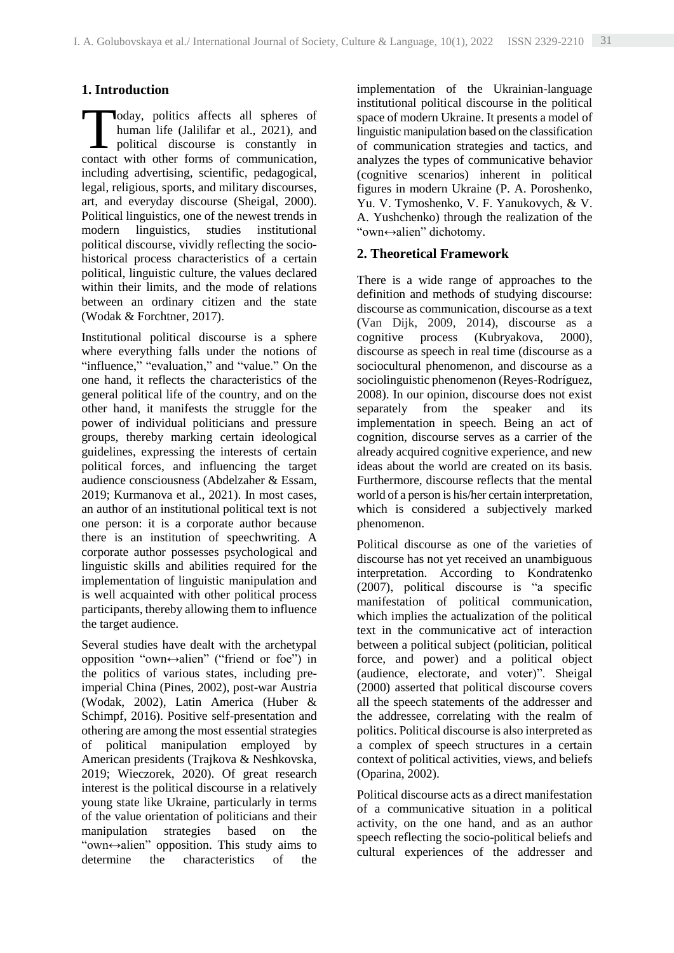# **1. Introduction**

oday, politics affects all spheres of human life (Jalilifar et al., 2021), and political discourse is constantly in oday, politics affects all spheres of human life (Jalilifar et al., 2021), and political discourse is constantly in contact with other forms of communication, including advertising, scientific, pedagogical, legal, religious, sports, and military discourses, art, and everyday discourse (Sheigal, 2000). Political linguistics, one of the newest trends in modern linguistics, studies institutional political discourse, vividly reflecting the sociohistorical process characteristics of a certain political, linguistic culture, the values declared within their limits, and the mode of relations between an ordinary citizen and the state (Wodak & Forchtner, 2017).

Institutional political discourse is a sphere where everything falls under the notions of "influence," "evaluation," and "value." On the one hand, it reflects the characteristics of the general political life of the country, and on the other hand, it manifests the struggle for the power of individual politicians and pressure groups, thereby marking certain ideological guidelines, expressing the interests of certain political forces, and influencing the target audience consciousness (Abdelzaher & Essam, 2019; Kurmanova et al., 2021). In most cases, an author of an institutional political text is not one person: it is a corporate author because there is an institution of speechwriting. A corporate author possesses psychological and linguistic skills and abilities required for the implementation of linguistic manipulation and is well acquainted with other political process participants, thereby allowing them to influence the target audience.

Several studies have dealt with the archetypal opposition "own↔alien" ("friend or foe") in the politics of various states, including preimperial China (Pines, 2002), post-war Austria (Wodak, 2002), Latin America (Huber & Schimpf, 2016). Positive self-presentation and othering are among the most essential strategies of political manipulation employed by American presidents (Trajkova & Neshkovska, 2019; Wieczorek, 2020). Of great research interest is the political discourse in a relatively young state like Ukraine, particularly in terms of the value orientation of politicians and their manipulation strategies based on the "own↔alien" opposition. This study aims to determine the characteristics of the

implementation of the Ukrainian-language institutional political discourse in the political space of modern Ukraine. It presents a model of linguistic manipulation based on the classification of communication strategies and tactics, and analyzes the types of communicative behavior (cognitive scenarios) inherent in political figures in modern Ukraine (P. A. Poroshenko, Yu. V. Tymoshenko, V. F. Yanukovych, & V. A. Yushchenko) through the realization of the "own↔alien" dichotomy.

## **2. Theoretical Framework**

There is a wide range of approaches to the definition and methods of studying discourse: discourse as communication, discourse as a text (Van Dijk, 2009, 2014), discourse as a cognitive process (Kubryakova, 2000), discourse as speech in real time (discourse as a sociocultural phenomenon, and discourse as a sociolinguistic phenomenon (Reyes-Rodríguez, 2008). In our opinion, discourse does not exist separately from the speaker and its implementation in speech. Being an act of cognition, discourse serves as a carrier of the already acquired cognitive experience, and new ideas about the world are created on its basis. Furthermore, discourse reflects that the mental world of a person is his/her certain interpretation, which is considered a subjectively marked phenomenon.

Political discourse as one of the varieties of discourse has not yet received an unambiguous interpretation. According to Kondratenko (2007), political discourse is "a specific manifestation of political communication, which implies the actualization of the political text in the communicative act of interaction between a political subject (politician, political force, and power) and a political object (audience, electorate, and voter)". Sheigal (2000) asserted that political discourse covers all the speech statements of the addresser and the addressee, correlating with the realm of politics. Political discourse is also interpreted as a complex of speech structures in a certain context of political activities, views, and beliefs (Oparina, 2002).

Political discourse acts as a direct manifestation of a communicative situation in a political activity, on the one hand, and as an author speech reflecting the socio-political beliefs and cultural experiences of the addresser and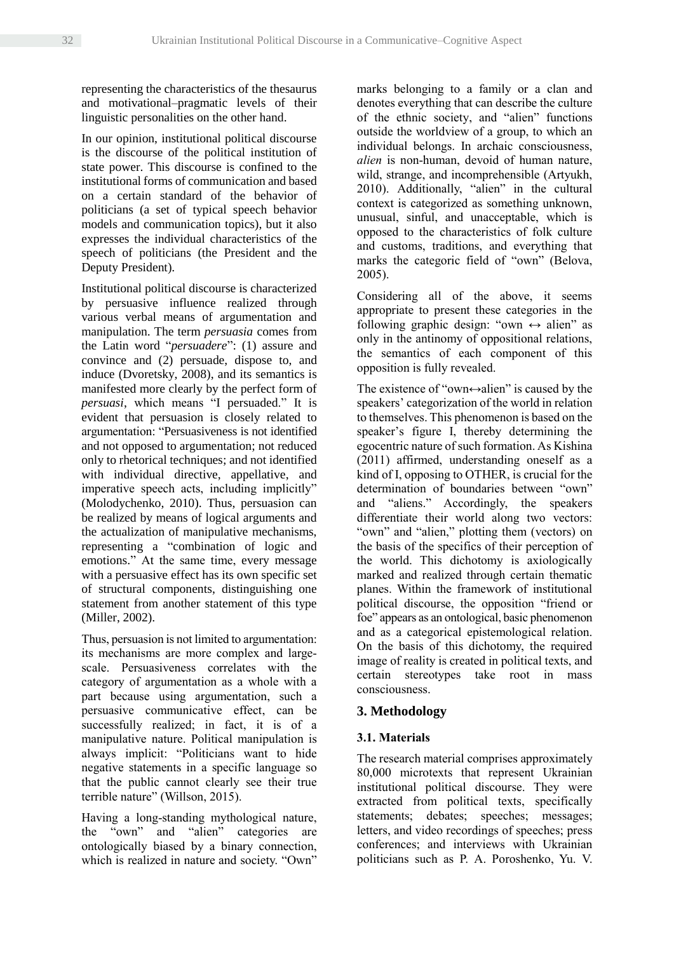representing the characteristics of the thesaurus and motivational–pragmatic levels of their linguistic personalities on the other hand.

In our opinion, institutional political discourse is the discourse of the political institution of state power. This discourse is confined to the institutional forms of communication and based on a certain standard of the behavior of politicians (a set of typical speech behavior models and communication topics), but it also expresses the individual characteristics of the speech of politicians (the President and the Deputy President).

Institutional political discourse is characterized by persuasive influence realized through various verbal means of argumentation and manipulation. The term *persuasia* comes from the Latin word "*persuadere*": (1) assure and convince and (2) persuade, dispose to, and induce (Dvoretsky, 2008), and its semantics is manifested more clearly by the perfect form of *persuasi*, which means "I persuaded." It is evident that persuasion is closely related to argumentation: "Persuasiveness is not identified and not opposed to argumentation; not reduced only to rhetorical techniques; and not identified with individual directive, appellative, and imperative speech acts, including implicitly" (Molodychenko, 2010). Thus, persuasion can be realized by means of logical arguments and the actualization of manipulative mechanisms, representing a "combination of logic and emotions." At the same time, every message with a persuasive effect has its own specific set of structural components, distinguishing one statement from another statement of this type (Miller, 2002).

Thus, persuasion is not limited to argumentation: its mechanisms are more complex and largescale. Persuasiveness correlates with the category of argumentation as a whole with a part because using argumentation, such a persuasive communicative effect, can be successfully realized; in fact, it is of a manipulative nature. Political manipulation is always implicit: "Politicians want to hide negative statements in a specific language so that the public cannot clearly see their true terrible nature" (Willson, 2015).

Having a long-standing mythological nature, the "own" and "alien" categories are ontologically biased by a binary connection, which is realized in nature and society. "Own"

marks belonging to a family or a clan and denotes everything that can describe the culture of the ethnic society, and "alien" functions outside the worldview of a group, to which an individual belongs. In archaic consciousness, *alien* is non-human, devoid of human nature, wild, strange, and incomprehensible (Artyukh, 2010). Additionally, "alien" in the cultural context is categorized as something unknown, unusual, sinful, and unacceptable, which is opposed to the characteristics of folk culture and customs, traditions, and everything that marks the categoric field of "own" (Belova, 2005).

Considering all of the above, it seems appropriate to present these categories in the following graphic design: "own  $\leftrightarrow$  alien" as only in the antinomy of oppositional relations, the semantics of each component of this opposition is fully revealed.

The existence of "own $\leftrightarrow$ alien" is caused by the speakers' categorization of the world in relation to themselves. This phenomenon is based on the speaker's figure I, thereby determining the egocentric nature of such formation. As Kishina (2011) affirmed, understanding oneself as a kind of I, opposing to OTHER, is crucial for the determination of boundaries between "own" and "aliens." Accordingly, the speakers differentiate their world along two vectors: "own" and "alien," plotting them (vectors) on the basis of the specifics of their perception of the world. This dichotomy is axiologically marked and realized through certain thematic planes. Within the framework of institutional political discourse, the opposition "friend or foe" appears as an ontological, basic phenomenon and as a categorical epistemological relation. On the basis of this dichotomy, the required image of reality is created in political texts, and certain stereotypes take root in mass consciousness.

# **3. Methodology**

# **3.1. Materials**

The research material comprises approximately 80,000 microtexts that represent Ukrainian institutional political discourse. They were extracted from political texts, specifically statements; debates; speeches; messages; letters, and video recordings of speeches; press conferences; and interviews with Ukrainian politicians such as P. A. Poroshenko, Yu. V.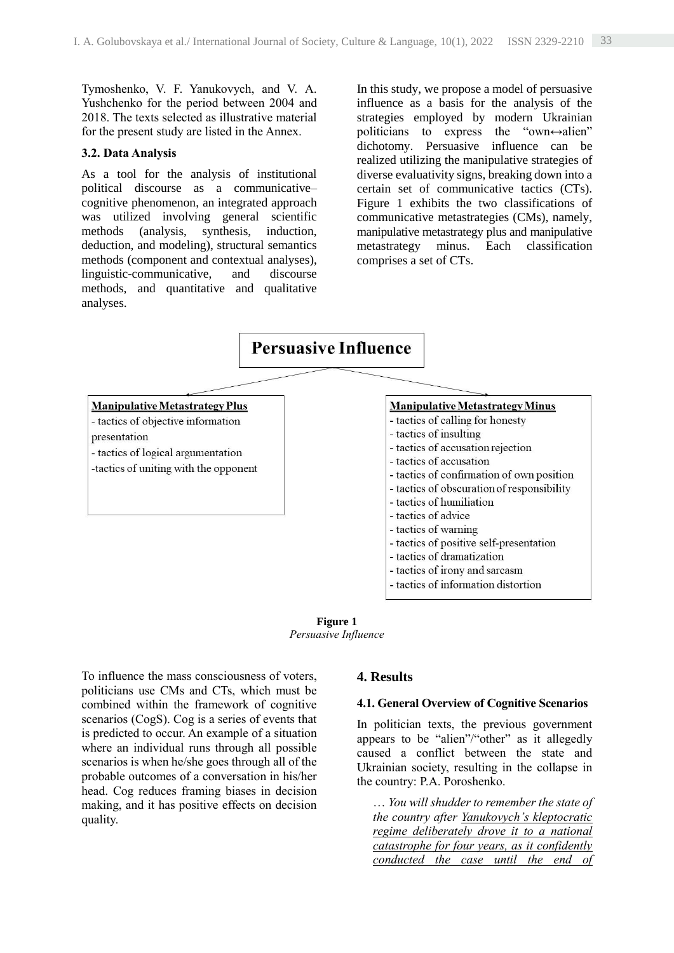Tymoshenko, V. F. Yanukovych, and V. A. Yushchenko for the period between 2004 and 2018. The texts selected as illustrative material for the present study are listed in the Annex.

#### **3.2. Data Analysis**

As a tool for the analysis of institutional political discourse as a communicative– cognitive phenomenon, an integrated approach was utilized involving general scientific methods (analysis, synthesis, induction, deduction, and modeling), structural semantics methods (component and contextual analyses), linguistic-communicative, and discourse methods, and quantitative and qualitative analyses.

In this study, we propose a model of persuasive influence as a basis for the analysis of the strategies employed by modern Ukrainian politicians to express the "own $\leftrightarrow$ alien" dichotomy. Persuasive influence can be realized utilizing the manipulative strategies of diverse evaluativity signs, breaking down into a certain set of communicative tactics (CTs). Figure 1 exhibits the two classifications of communicative metastrategies (CMs), namely, manipulative metastrategy plus and manipulative metastrategy minus. Each classification comprises a set of CTs.

# **Persuasive Influence**

#### **Manipulative Metastrategy Plus**

- tactics of objective information

presentation

- tactics of logical argumentation -tactics of uniting with the opponent

### **Manipulative Metastrategy Minus**

- tactics of calling for honesty
- tactics of insulting
- tactics of accusation rejection
- tactics of accusation
- tactics of confirmation of own position
- tactics of obscuration of responsibility
- tactics of humiliation
- tactics of advice
- tactics of warning
- tactics of positive self-presentation
- tactics of dramatization
- tactics of irony and sarcasm
- tactics of information distortion

**Figure 1** *Persuasive Influence*

To influence the mass consciousness of voters, politicians use CMs and CTs, which must be combined within the framework of cognitive scenarios (CogS). Cog is a series of events that is predicted to occur. An example of a situation where an individual runs through all possible scenarios is when he/she goes through all of the probable outcomes of a conversation in his/her head. Cog reduces framing biases in decision making, and it has positive effects on decision quality.

#### **4. Results**

#### **4.1. General Overview of Cognitive Scenarios**

In politician texts, the previous government appears to be "alien"/"other" as it allegedly caused a conflict between the state and Ukrainian society, resulting in the collapse in the country: P.A. Poroshenko.

… *You will shudder to remember the state of the country after Yanukovych's kleptocratic regime deliberately drove it to a national catastrophe for four years, as it confidently conducted the case until the end of*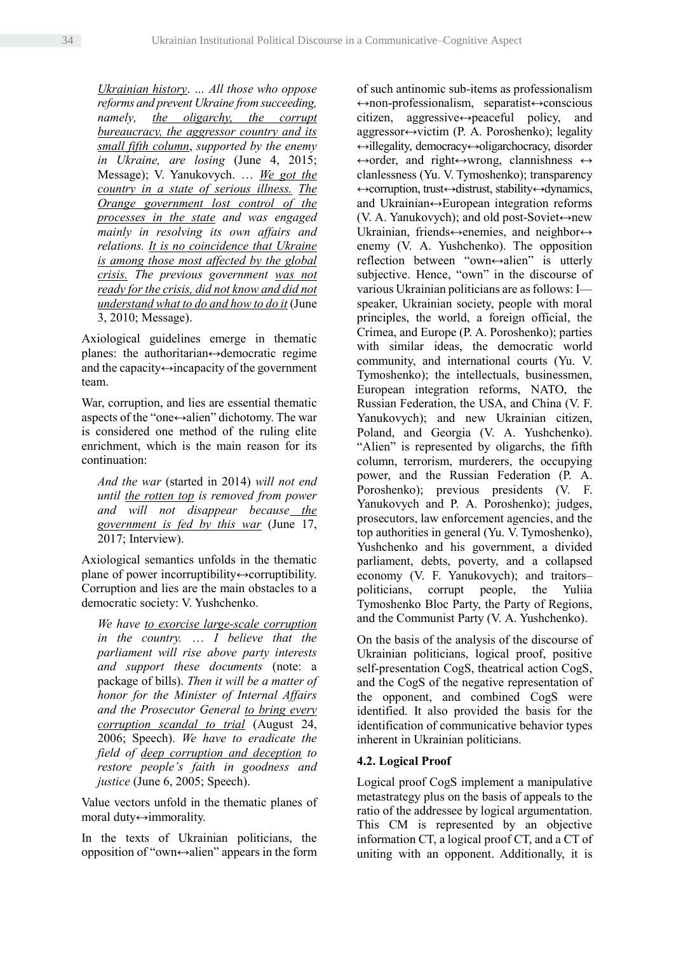*Ukrainian history*. *… All those who oppose reforms and prevent Ukraine from succeeding, namely, the oligarchy, the corrupt bureaucracy, the aggressor country and its small fifth column*, *supported by the enemy in Ukraine, are losing* (June 4, 2015; Message); V. Yanukovych. … *We got the country in a state of serious illness. The Orange government lost control of the processes in the state and was engaged mainly in resolving its own affairs and relations. It is no coincidence that Ukraine is among those most affected by the global crisis. The previous government was not ready for the crisis, did not know and did not understand what to do and how to do it* (June 3, 2010; Message).

Axiological guidelines emerge in thematic planes: the authoritarian↔democratic regime and the capacity $\leftrightarrow$ incapacity of the government team.

War, corruption, and lies are essential thematic aspects of the "one↔alien" dichotomy. The war is considered one method of the ruling elite enrichment, which is the main reason for its continuation:

*And the war* (started in 2014) *will not end until the rotten top is removed from power and will not disappear because the government is fed by this war* (June 17, 2017; Interview).

Axiological semantics unfolds in the thematic plane of power incorruptibility↔corruptibility. Corruption and lies are the main obstacles to a democratic society: V. Yushchenko.

*We have to exorcise large-scale corruption in the country.* … *I believe that the parliament will rise above party interests and support these documents* (note: a package of bills). *Then it will be a matter of honor for the Minister of Internal Affairs and the Prosecutor General to bring every corruption scandal to trial* (August 24, 2006; Speech). *We have to eradicate the field of deep corruption and deception to restore people's faith in goodness and justice* (June 6, 2005; Speech).

Value vectors unfold in the thematic planes of moral duty↔immorality.

In the texts of Ukrainian politicians, the opposition of "own↔alien" appears in the form of such antinomic sub-items as professionalism ↔non-professionalism, separatist↔conscious citizen, aggressive↔peaceful policy, and  $aq$ ggressor $\leftrightarrow$ victim (P. A. Poroshenko); legality ↔illegality, democracy↔oligarchocracy, disorder  $\leftrightarrow$ order, and right $\leftrightarrow$ wrong, clannishness  $\leftrightarrow$ clanlessness (Yu. V. Tymoshenko); transparency ↔corruption, trust↔distrust, stability↔dynamics, and Ukrainian↔European integration reforms (V. A. Yanukovych); and old post-Soviet↔new Ukrainian, friends⇔enemies, and neighbor⇔ enemy (V. A. Yushchenko). The opposition reflection between "own↔alien" is utterly subjective. Hence, "own" in the discourse of various Ukrainian politicians are as follows: I speaker, Ukrainian society, people with moral principles, the world, a foreign official, the Crimea, and Europe (P. A. Poroshenko); parties with similar ideas, the democratic world community, and international courts (Yu. V. Tymoshenko); the intellectuals, businessmen, European integration reforms, NATO, the Russian Federation, the USA, and China (V. F. Yanukovych); and new Ukrainian citizen, Poland, and Georgia (V. A. Yushchenko). "Alien" is represented by oligarchs, the fifth column, terrorism, murderers, the occupying power, and the Russian Federation (P. A. Poroshenko); previous presidents (V. F. Yanukovych and P. A. Poroshenko); judges, prosecutors, law enforcement agencies, and the top authorities in general (Yu. V. Tymoshenko), Yushchenko and his government, a divided parliament, debts, poverty, and a collapsed economy (V. F. Yanukovych); and traitors– politicians, corrupt people, the Yuliia Tymoshenko Bloc Party, the Party of Regions, and the Communist Party (V. A. Yushchenko).

On the basis of the analysis of the discourse of Ukrainian politicians, logical proof, positive self-presentation CogS, theatrical action CogS, and the CogS of the negative representation of the opponent, and combined CogS were identified. It also provided the basis for the identification of communicative behavior types inherent in Ukrainian politicians.

## **4.2. Logical Proof**

Logical proof CogS implement a manipulative metastrategy plus on the basis of appeals to the ratio of the addressee by logical argumentation. This CM is represented by an objective information CT, a logical proof CT, and a CT of uniting with an opponent. Additionally, it is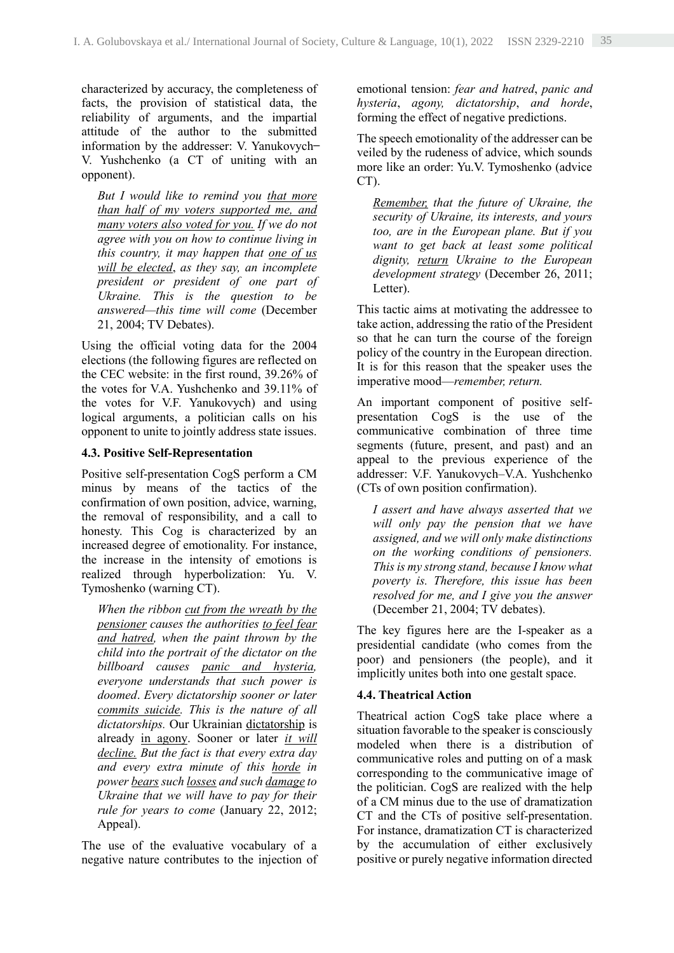characterized by accuracy, the completeness of facts, the provision of statistical data, the reliability of arguments, and the impartial attitude of the author to the submitted information by the addresser: V. Yanukovych-V. Yushchenko (a CT of uniting with an opponent).

*But I would like to remind you that more than half of my voters supported me, and many voters also voted for you. If we do not agree with you on how to continue living in this country, it may happen that one of us will be elected*, *as they say, an incomplete president or president of one part of Ukraine. This is the question to be answered—this time will come* (December 21, 2004; TV Debates).

Using the official voting data for the 2004 elections (the following figures are reflected on the CEC website: in the first round, 39.26% of the votes for V.A. Yushchenko and 39.11% of the votes for V.F. Yanukovych) and using logical arguments, a politician calls on his opponent to unite to jointly address state issues.

#### **4.3. Positive Self-Representation**

Positive self-presentation CogS perform a CМ minus by means of the tactics of the confirmation of own position, advice, warning, the removal of responsibility, and a call to honesty. This Cog is characterized by an increased degree of emotionality. For instance, the increase in the intensity of emotions is realized through hyperbolization: Yu. V. Tymoshenko (warning CT).

*When the ribbon cut from the wreath by the pensioner causes the authorities to feel fear and hatred, when the paint thrown by the child into the portrait of the dictator on the billboard causes panic and hysteria, everyone understands that such power is doomed*. *Every dictatorship sooner or later commits suicide. This is the nature of all dictatorships.* Our Ukrainian dictatorship is already in agony. Sooner or later *it will decline. But the fact is that every extra day and every extra minute of this horde in power bears such losses and such damage to Ukraine that we will have to pay for their rule for years to come* (January 22, 2012; Appeal).

The use of the evaluative vocabulary of a negative nature contributes to the injection of emotional tension: *fear and hatred*, *panic and hysteria*, *agony, dictatorship*, *and horde*, forming the effect of negative predictions.

The speech emotionality of the addresser can be veiled by the rudeness of advice, which sounds more like an order: Yu.V. Tymoshenko (advice CT).

*Remember, that the future of Ukraine, the security of Ukraine, its interests, and yours too, are in the European plane. But if you want to get back at least some political dignity, return Ukraine to the European development strategy* (December 26, 2011; Letter).

This tactic aims at motivating the addressee to take action, addressing the ratio of the President so that he can turn the course of the foreign policy of the country in the European direction. It is for this reason that the speaker uses the imperative mood—*remember, return.*

An important component of positive selfpresentation CogS is the use of the communicative combination of three time segments (future, present, and past) and an appeal to the previous experience of the addresser: V.F. Yanukovych–V.A. Yushchenko (CTs of own position confirmation).

*I assert and have always asserted that we will only pay the pension that we have assigned, and we will only make distinctions on the working conditions of pensioners. This is my strong stand, because I know what poverty is. Therefore, this issue has been resolved for me, and I give you the answer* (December 21, 2004; TV debates).

The key figures here are the I-speaker as a presidential candidate (who comes from the poor) and pensioners (the people), and it implicitly unites both into one gestalt space.

## **4.4. Theatrical Action**

Theatrical action CogS take place where a situation favorable to the speaker is consciously modeled when there is a distribution of communicative roles and putting on of a mask corresponding to the communicative image of the politician. CogS are realized with the help of a CM minus due to the use of dramatization CT and the CTs of positive self-presentation. For instance, dramatization CT is characterized by the accumulation of either exclusively positive or purely negative information directed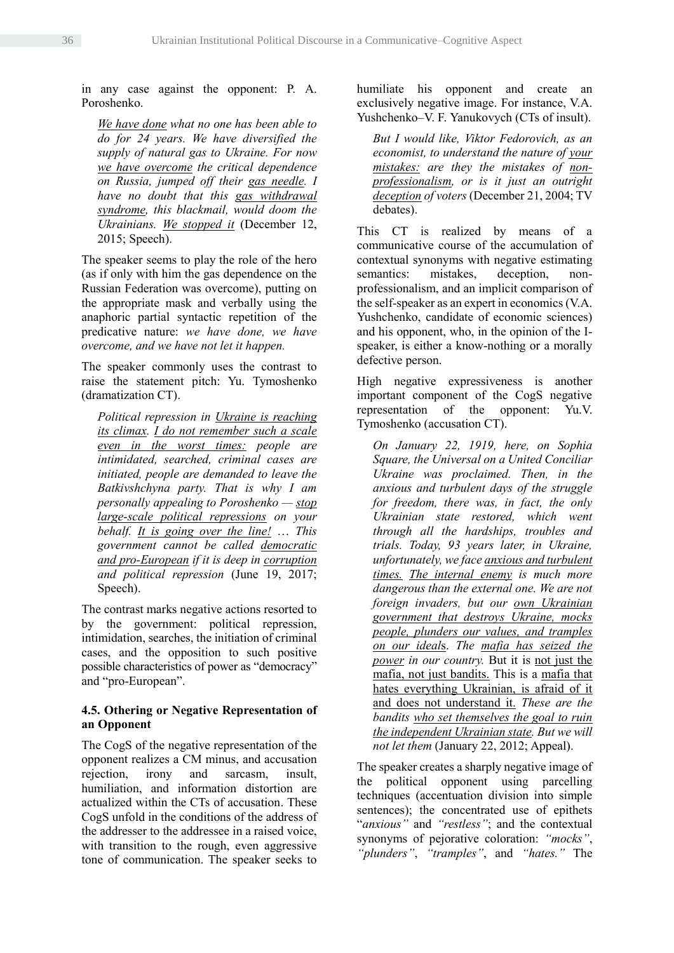in any case against the opponent: P. A. Poroshenko.

*We have done what no one has been able to do for 24 years. We have diversified the supply of natural gas to Ukraine. For now we have overcome the critical dependence on Russia, jumped off their gas needle. I have no doubt that this gas withdrawal syndrome, this blackmail, would doom the Ukrainians. We stopped it* (December 12, 2015; Speech).

The speaker seems to play the role of the hero (as if only with him the gas dependence on the Russian Federation was overcome), putting on the appropriate mask and verbally using the anaphoric partial syntactic repetition of the predicative nature: *we have done, we have overcome, and we have not let it happen.*

The speaker commonly uses the contrast to raise the statement pitch: Yu. Tymoshenko (dramatization CT).

*Political repression in Ukraine is reaching its climax. I do not remember such a scale even in the worst times: people are intimidated, searched, criminal cases are initiated, people are demanded to leave the Batkivshchyna party. That is why I am personally appealing to Poroshenko — stop large-scale political repressions on your behalf. It is going over the line!* … *This government cannot be called democratic and pro-European if it is deep in corruption and political repression* (June 19, 2017; Speech).

The contrast marks negative actions resorted to by the government: political repression, intimidation, searches, the initiation of criminal cases, and the opposition to such positive possible characteristics of power as "democracy" and "pro-European".

## **4.5. Othering or Negative Representation of an Opponent**

The CogS of the negative representation of the opponent realizes a CM minus, and accusation rejection, irony and sarcasm, insult, humiliation, and information distortion are actualized within the CTs of accusation. These CogS unfold in the conditions of the address of the addresser to the addressee in a raised voice, with transition to the rough, even aggressive tone of communication. The speaker seeks to

humiliate his opponent and create an exclusively negative image. For instance, V.A. Yushchenko–V. F. Yanukovych (CTs of insult).

*But I would like, Viktor Fedorovich, as an economist, to understand the nature of your mistakes: are they the mistakes of nonprofessionalism, or is it just an outright deception of voters* (December 21, 2004; TV debates).

This CT is realized by means of a communicative course of the accumulation of contextual synonyms with negative estimating semantics: mistakes, deception, nonprofessionalism, and an implicit comparison of the self-speaker as an expert in economics (V.A. Yushchenko, candidate of economic sciences) and his opponent, who, in the opinion of the Ispeaker, is either a know-nothing or a morally defective person.

High negative expressiveness is another important component of the CogS negative representation of the opponent: Yu.V. Tymoshenko (accusation CT).

*On January 22, 1919, here, on Sophia Square, the Universal on a United Conciliar Ukraine was proclaimed. Then, in the anxious and turbulent days of the struggle for freedom, there was, in fact, the only Ukrainian state restored, which went through all the hardships, troubles and trials. Today, 93 years later, in Ukraine, unfortunately, we face anxious and turbulent times. The internal enemy is much more dangerous than the external one. We are not foreign invaders, but our own Ukrainian government that destroys Ukraine, mocks people, plunders our values, and tramples on our ideal*s. *The mafia has seized the power in our country.* But it is not just the mafia, not just bandits. This is a mafia that hates everything Ukrainian, is afraid of it and does not understand it. *These are the bandits who set themselves the goal to ruin the independent Ukrainian state. But we will not let them* (January 22, 2012; Appeal).

The speaker creates a sharply negative image of the political opponent using parcelling techniques (accentuation division into simple sentences); the concentrated use of epithets "*anxious"* and *"restless"*; and the contextual synonyms of pejorative coloration: *"mocks"*, *"plunders"*, *"tramples"*, and *"hates."* The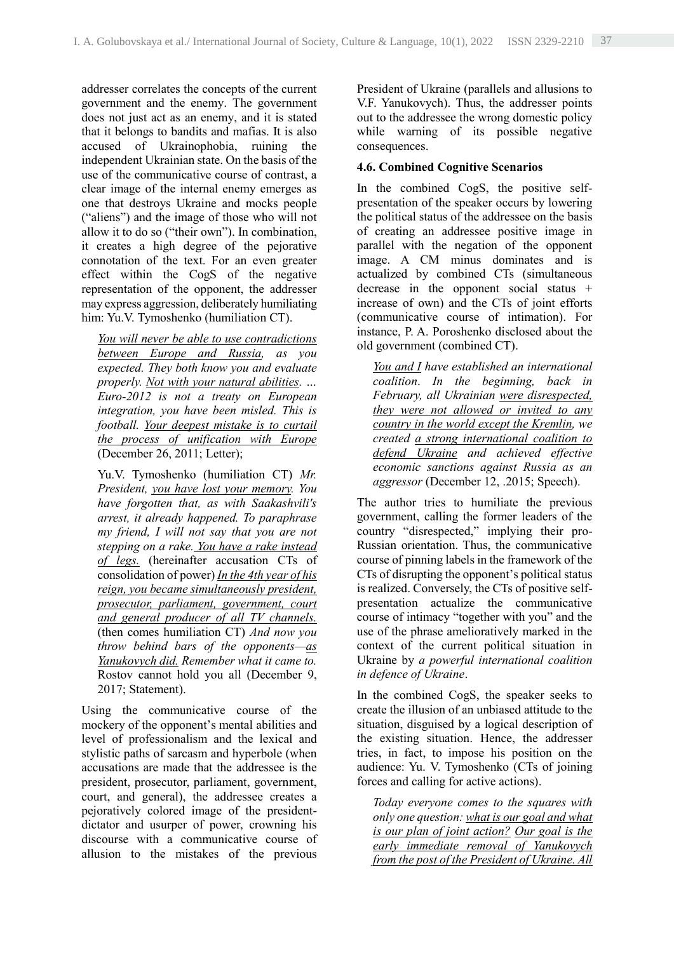addresser correlates the concepts of the current government and the enemy. The government does not just act as an enemy, and it is stated that it belongs to bandits and mafias. It is also accused of Ukrainophobia, ruining the independent Ukrainian state. On the basis of the use of the communicative course of contrast, a clear image of the internal enemy emerges as one that destroys Ukraine and mocks people ("aliens") and the image of those who will not allow it to do so ("their own"). In combination, it creates a high degree of the pejorative connotation of the text. For an even greater effect within the CogS of the negative representation of the opponent, the addresser may express aggression, deliberately humiliating him: Yu.V. Tymoshenko (humiliation CT).

*You will never be able to use contradictions between Europe and Russia, as you expected. They both know you and evaluate properly. Not with your natural abilities. … Euro-2012 is not a treaty on European integration, you have been misled. This is football. Your deepest mistake is to curtail the process of unification with Europe* (December 26, 2011; Letter);

Yu.V. Tymoshenko (humiliation CT) *Mr. President, you have lost your memory. You have forgotten that, as with Saakashvili's arrest, it already happened. To paraphrase my friend, I will not say that you are not stepping on a rake. You have a rake instead of legs.* (hereinafter accusation CTs of consolidation of power) *In the 4th year of his reign, you became simultaneously president, prosecutor, parliament, government, court and general producer of all TV channels.* (then comes humiliation CT) *And now you throw behind bars of the opponents—as Yanukovych did. Remember what it came to.*  Rostov cannot hold you all (December 9, 2017; Statement).

Using the communicative course of the mockery of the opponent's mental abilities and level of professionalism and the lexical and stylistic paths of sarcasm and hyperbole (when accusations are made that the addressee is the president, prosecutor, parliament, government, court, and general), the addressee creates a pejoratively colored image of the presidentdictator and usurper of power, crowning his discourse with a communicative course of allusion to the mistakes of the previous President of Ukraine (parallels and allusions to V.F. Yanukovych). Thus, the addresser points out to the addressee the wrong domestic policy while warning of its possible negative consequences.

### **4.6. Combined Cognitive Scenarios**

In the combined CogS, the positive selfpresentation of the speaker occurs by lowering the political status of the addressee on the basis of creating an addressee positive image in parallel with the negation of the opponent image. A CM minus dominates and is actualized by combined CTs (simultaneous decrease in the opponent social status + increase of own) and the CTs of joint efforts (communicative course of intimation). For instance, P. A. Poroshenko disclosed about the old government (combined CT).

*You and I have established an international coalition*. *In the beginning, back in February, all Ukrainian were disrespected, they were not allowed or invited to any country in the world except the Kremlin, we created a strong international coalition to defend Ukraine and achieved effective economic sanctions against Russia as an aggressor* (December 12, .2015; Speech).

The author tries to humiliate the previous government, calling the former leaders of the country "disrespected," implying their pro-Russian orientation. Thus, the communicative course of pinning labels in the framework of the CTs of disrupting the opponent's political status is realized. Conversely, the CTs of positive selfpresentation actualize the communicative course of intimacy "together with you" and the use of the phrase amelioratively marked in the context of the current political situation in Ukraine by *a powerful international coalition in defence of Ukraine*.

In the combined CogS, the speaker seeks to create the illusion of an unbiased attitude to the situation, disguised by a logical description of the existing situation. Hence, the addresser tries, in fact, to impose his position on the audience: Yu. V. Tymoshenko (CTs of joining forces and calling for active actions).

*Today everyone comes to the squares with only one question: what is our goal and what is our plan of joint action? Our goal is the early immediate removal of Yanukovych from the post of the President of Ukraine. All*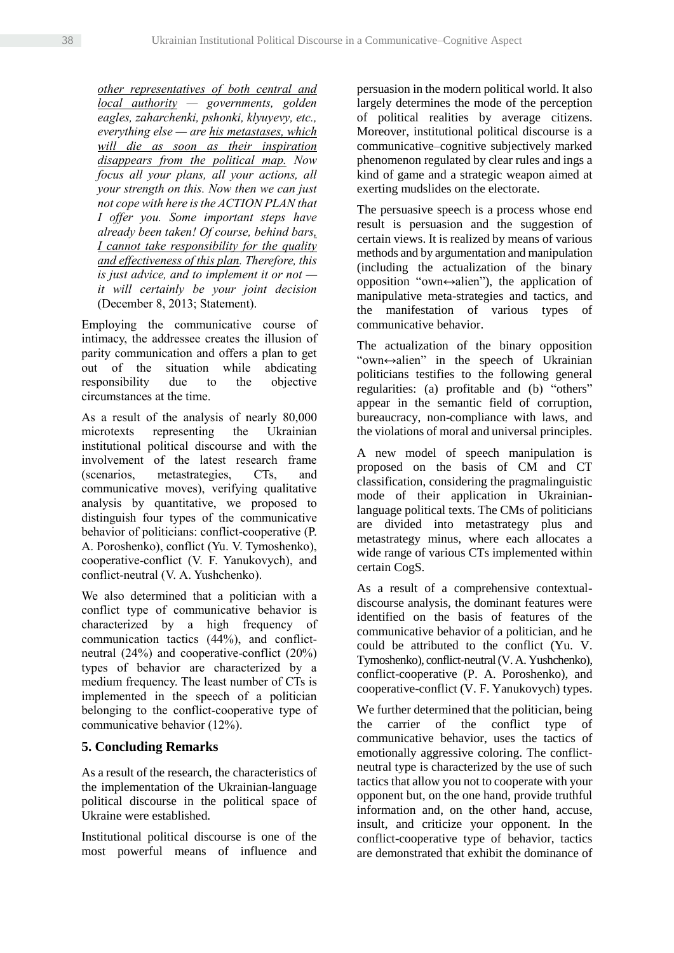*other representatives of both central and local authority — governments, golden eagles, zaharchenki, pshonki, klyuyevy, etc., everything else — are his metastases, which will die as soon as their inspiration disappears from the political map. Now focus all your plans, all your actions, all your strength on this. Now then we can just not cope with here is the ACTION PLAN that I offer you. Some important steps have already been taken! Of course, behind bars, I cannot take responsibility for the quality and effectiveness of this plan. Therefore, this is just advice, and to implement it or not it will certainly be your joint decision* (December 8, 2013; Statement).

Employing the communicative course of intimacy, the addressee creates the illusion of parity communication and offers a plan to get out of the situation while abdicating responsibility due to the objective circumstances at the time.

As a result of the analysis of nearly 80,000 microtexts representing the Ukrainian institutional political discourse and with the involvement of the latest research frame (scenarios, metastrategies, CTs, and communicative moves), verifying qualitative analysis by quantitative, we proposed to distinguish four types of the communicative behavior of politicians: conflict-cooperative (P. A. Poroshenko), conflict (Yu. V. Tymoshenko), cooperative-conflict (V. F. Yanukovych), and conflict-neutral (V. A. Yushchenko).

We also determined that a politician with a conflict type of communicative behavior is characterized by a high frequency of communication tactics (44%), and conflictneutral (24%) and cooperative-conflict (20%) types of behavior are characterized by a medium frequency. The least number of CTs is implemented in the speech of a politician belonging to the conflict-cooperative type of communicative behavior (12%).

# **5. Concluding Remarks**

As a result of the research, the characteristics of the implementation of the Ukrainian-language political discourse in the political space of Ukraine were established.

Institutional political discourse is one of the most powerful means of influence and persuasion in the modern political world. It also largely determines the mode of the perception of political realities by average citizens. Moreover, institutional political discourse is a communicative–cognitive subjectively marked phenomenon regulated by clear rules and ings a kind of game and a strategic weapon aimed at exerting mudslides on the electorate.

The persuasive speech is a process whose end result is persuasion and the suggestion of certain views. It is realized by means of various methods and by argumentation and manipulation (including the actualization of the binary opposition "own↔alien"), the application of manipulative meta-strategies and tactics, and the manifestation of various types of communicative behavior.

The actualization of the binary opposition "own↔alien" in the speech of Ukrainian politicians testifies to the following general regularities: (a) profitable and (b) "others" appear in the semantic field of corruption, bureaucracy, non-compliance with laws, and the violations of moral and universal principles.

A new model of speech manipulation is proposed on the basis of CM and CT classification, considering the pragmalinguistic mode of their application in Ukrainianlanguage political texts. The CMs of politicians are divided into metastrategy plus and metastrategy minus, where each allocates a wide range of various CTs implemented within certain CogS.

As a result of a comprehensive contextualdiscourse analysis, the dominant features were identified on the basis of features of the communicative behavior of a politician, and he could be attributed to the conflict (Yu. V. Tymoshenko), conflict-neutral (V.A. Yushchenko), conflict-cooperative (P. A. Poroshenko), and cooperative-conflict (V. F. Yanukovych) types.

We further determined that the politician, being the carrier of the conflict type of communicative behavior, uses the tactics of emotionally aggressive coloring. The conflictneutral type is characterized by the use of such tactics that allow you not to cooperate with your opponent but, on the one hand, provide truthful information and, on the other hand, accuse, insult, and criticize your opponent. In the conflict-cooperative type of behavior, tactics are demonstrated that exhibit the dominance of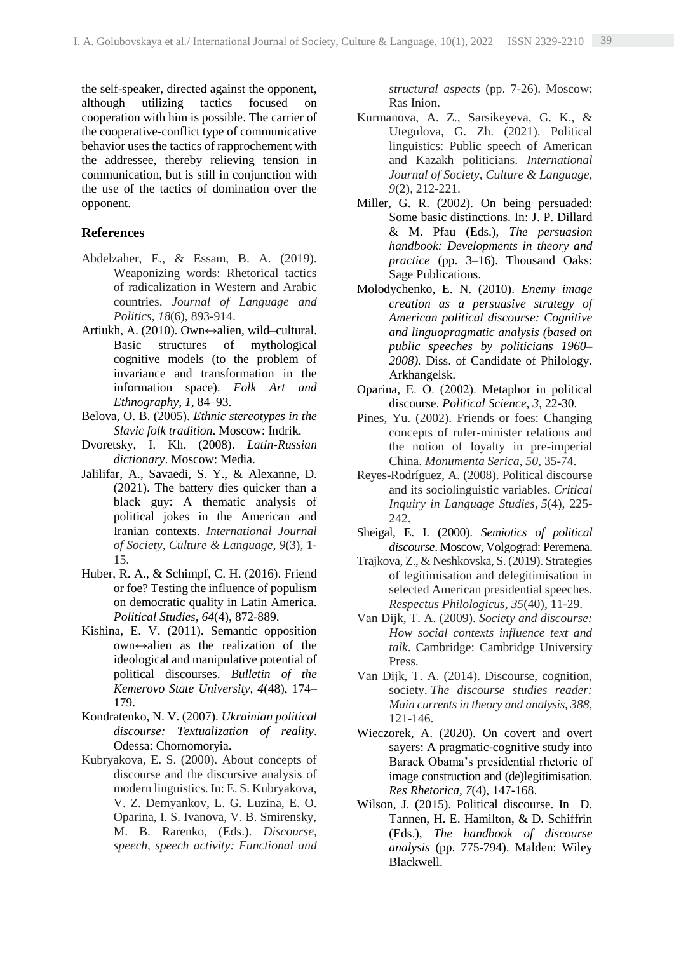the self-speaker, directed against the opponent, although utilizing tactics focused on cooperation with him is possible. The carrier of the cooperative-conflict type of communicative behavior uses the tactics of rapprochement with the addressee, thereby relieving tension in communication, but is still in conjunction with the use of the tactics of domination over the opponent.

## **References**

- Abdelzaher, E., & Essam, B. A. (2019). Weaponizing words: Rhetorical tactics of radicalization in Western and Arabic countries. *Journal of Language and Politics*, *18*(6), 893-914.
- Artiukh, A. (2010). Own↔alien, wild–cultural. Basic structures of mythological cognitive models (to the problem of invariance and transformation in the information space). *Folk Art and Ethnography*, *1*, 84–93.
- Belova, O. B. (2005). *Ethnic stereotypes in the Slavic folk tradition*. Moscow: Indrik.
- Dvoretsky, I. Kh. (2008). *Latin-Russian dictionary*. Moscow: Media.
- Jalilifar, A., Savaedi, S. Y., & Alexanne, D. (2021). The battery dies quicker than a black guy: A thematic analysis of political jokes in the American and Iranian contexts. *International Journal of Society, Culture & Language, 9*(3), 1- 15.
- Huber, R. A., & Schimpf, C. H. (2016). Friend or foe? Testing the influence of populism on democratic quality in Latin America. *Political Studies, 64*(4), 872-889.
- Kishina, E. V. (2011). Semantic opposition own↔alien as the realization of the ideological and manipulative potential of political discourses. *Bulletin of the Kemerovo State University, 4*(48), 174– 179.
- Kondratenko, N. V. (2007). *Ukrainian political discourse: Textualization of reality*. Odessa: Chornomoryia.
- Kubryakova, E. S. (2000). About concepts of discourse and the discursive analysis of modern linguistics. In: E. S. Kubryakova, V. Z. Demyankov, L. G. Luzina, E. O. Oparina, I. S. Ivanova, V. B. Smirensky, M. B. Rarenko, (Eds.). *Discourse, speech, speech activity: Functional and*

*structural aspects* (pp. 7-26). Moscow: Ras Inion.

- Kurmanova, A. Z., Sarsikeyeva, G. K., & Utegulova, G. Zh. (2021). Political linguistics: Public speech of American and Kazakh politicians. *International Journal of Society, Culture & Language, 9*(2), 212-221.
- Miller, G. R. (2002). On being persuaded: Some basic distinctions. In: J. P. Dillard & M. Pfau (Eds.), *The persuasion handbook: Developments in theory and practice* (pp. 3–16). Thousand Oaks: Sage Publications.
- Molodychenko, E. N. (2010). *Enemy image creation as a persuasive strategy of American political discourse: Cognitive and linguopragmatic analysis (based on public speeches by politicians 1960– 2008).* Diss. of Candidate of Philology. Arkhangelsk.
- Oparina, E. О. (2002). Metaphor in political discourse. *Political Science, 3*, 22-30.
- Pines, Yu. (2002). Friends or foes: Changing concepts of ruler-minister relations and the notion of loyalty in pre-imperial China. *Monumenta Serica, 50*, 35-74.
- Reyes-Rodríguez, A. (2008). Political discourse and its sociolinguistic variables. *Critical Inquiry in Language Studies*, *5*(4), 225- 242.
- Sheigal, E. I. (2000). *Semiotics of political discourse*. Moscow, Volgograd: Peremena.
- Trajkova, Z., & Neshkovska, S. (2019). Strategies of legitimisation and delegitimisation in selected American presidential speeches. *Respectus Philologicus, 35*(40), 11-29.
- Van Dijk, T. A. (2009). *Society and discourse: How social contexts influence text and talk*. Cambridge: Cambridge University Press.
- Van Dijk, T. A. (2014). Discourse, cognition, society. *The discourse studies reader: Main currents in theory and analysis*, *388*, 121-146.
- Wieczorek, A. (2020). On covert and overt sayers: A pragmatic-cognitive study into Barack Obama's presidential rhetoric of image construction and (de)legitimisation. *Res Rhetorica, 7*(4), 147-168.
- Wilson, J. (2015). Political discourse. In D. Tannen, H. E. Hamilton, & D. Schiffrin (Eds.), *The handbook of discourse analysis* (pp. 775-794). Malden: Wiley Blackwell.